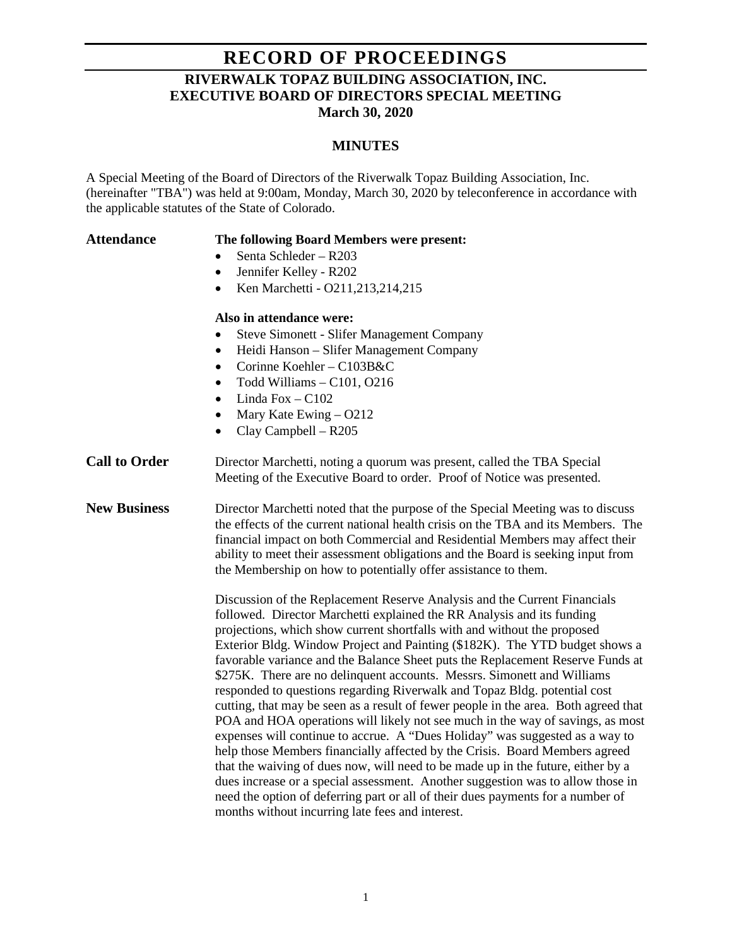## **RECORD OF PROCEEDINGS RIVERWALK TOPAZ BUILDING ASSOCIATION, INC. EXECUTIVE BOARD OF DIRECTORS SPECIAL MEETING March 30, 2020**

## **MINUTES**

A Special Meeting of the Board of Directors of the Riverwalk Topaz Building Association, Inc. (hereinafter "TBA") was held at 9:00am, Monday, March 30, 2020 by teleconference in accordance with the applicable statutes of the State of Colorado.

| <b>Attendance</b>    | The following Board Members were present:                                                                                                                                                                                                                                                                                                                                                                                                                                                                                                                                                                                                                                                                                                                                                                                                                                                                                                                                                                                                                                                                                                                                                                      |
|----------------------|----------------------------------------------------------------------------------------------------------------------------------------------------------------------------------------------------------------------------------------------------------------------------------------------------------------------------------------------------------------------------------------------------------------------------------------------------------------------------------------------------------------------------------------------------------------------------------------------------------------------------------------------------------------------------------------------------------------------------------------------------------------------------------------------------------------------------------------------------------------------------------------------------------------------------------------------------------------------------------------------------------------------------------------------------------------------------------------------------------------------------------------------------------------------------------------------------------------|
|                      | Senta Schleder - R203                                                                                                                                                                                                                                                                                                                                                                                                                                                                                                                                                                                                                                                                                                                                                                                                                                                                                                                                                                                                                                                                                                                                                                                          |
|                      | Jennifer Kelley - R202<br>٠                                                                                                                                                                                                                                                                                                                                                                                                                                                                                                                                                                                                                                                                                                                                                                                                                                                                                                                                                                                                                                                                                                                                                                                    |
|                      | Ken Marchetti - O211,213,214,215                                                                                                                                                                                                                                                                                                                                                                                                                                                                                                                                                                                                                                                                                                                                                                                                                                                                                                                                                                                                                                                                                                                                                                               |
|                      | Also in attendance were:                                                                                                                                                                                                                                                                                                                                                                                                                                                                                                                                                                                                                                                                                                                                                                                                                                                                                                                                                                                                                                                                                                                                                                                       |
|                      | <b>Steve Simonett - Slifer Management Company</b>                                                                                                                                                                                                                                                                                                                                                                                                                                                                                                                                                                                                                                                                                                                                                                                                                                                                                                                                                                                                                                                                                                                                                              |
|                      | Heidi Hanson - Slifer Management Company<br>$\bullet$                                                                                                                                                                                                                                                                                                                                                                                                                                                                                                                                                                                                                                                                                                                                                                                                                                                                                                                                                                                                                                                                                                                                                          |
|                      | Corinne Koehler - C103B&C                                                                                                                                                                                                                                                                                                                                                                                                                                                                                                                                                                                                                                                                                                                                                                                                                                                                                                                                                                                                                                                                                                                                                                                      |
|                      | Todd Williams - C101, O216                                                                                                                                                                                                                                                                                                                                                                                                                                                                                                                                                                                                                                                                                                                                                                                                                                                                                                                                                                                                                                                                                                                                                                                     |
|                      | Linda Fox - C102<br>$\bullet$                                                                                                                                                                                                                                                                                                                                                                                                                                                                                                                                                                                                                                                                                                                                                                                                                                                                                                                                                                                                                                                                                                                                                                                  |
|                      | Mary Kate Ewing – O212<br>$\bullet$                                                                                                                                                                                                                                                                                                                                                                                                                                                                                                                                                                                                                                                                                                                                                                                                                                                                                                                                                                                                                                                                                                                                                                            |
|                      | Clay Campbell - R205<br>$\bullet$                                                                                                                                                                                                                                                                                                                                                                                                                                                                                                                                                                                                                                                                                                                                                                                                                                                                                                                                                                                                                                                                                                                                                                              |
| <b>Call to Order</b> | Director Marchetti, noting a quorum was present, called the TBA Special<br>Meeting of the Executive Board to order. Proof of Notice was presented.                                                                                                                                                                                                                                                                                                                                                                                                                                                                                                                                                                                                                                                                                                                                                                                                                                                                                                                                                                                                                                                             |
| <b>New Business</b>  | Director Marchetti noted that the purpose of the Special Meeting was to discuss<br>the effects of the current national health crisis on the TBA and its Members. The<br>financial impact on both Commercial and Residential Members may affect their<br>ability to meet their assessment obligations and the Board is seeking input from<br>the Membership on how to potentially offer assistance to them.                                                                                                                                                                                                                                                                                                                                                                                                                                                                                                                                                                                                                                                                                                                                                                                                     |
|                      | Discussion of the Replacement Reserve Analysis and the Current Financials<br>followed. Director Marchetti explained the RR Analysis and its funding<br>projections, which show current shortfalls with and without the proposed<br>Exterior Bldg. Window Project and Painting (\$182K). The YTD budget shows a<br>favorable variance and the Balance Sheet puts the Replacement Reserve Funds at<br>\$275K. There are no delinquent accounts. Messrs. Simonett and Williams<br>responded to questions regarding Riverwalk and Topaz Bldg. potential cost<br>cutting, that may be seen as a result of fewer people in the area. Both agreed that<br>POA and HOA operations will likely not see much in the way of savings, as most<br>expenses will continue to accrue. A "Dues Holiday" was suggested as a way to<br>help those Members financially affected by the Crisis. Board Members agreed<br>that the waiving of dues now, will need to be made up in the future, either by a<br>dues increase or a special assessment. Another suggestion was to allow those in<br>need the option of deferring part or all of their dues payments for a number of<br>months without incurring late fees and interest. |